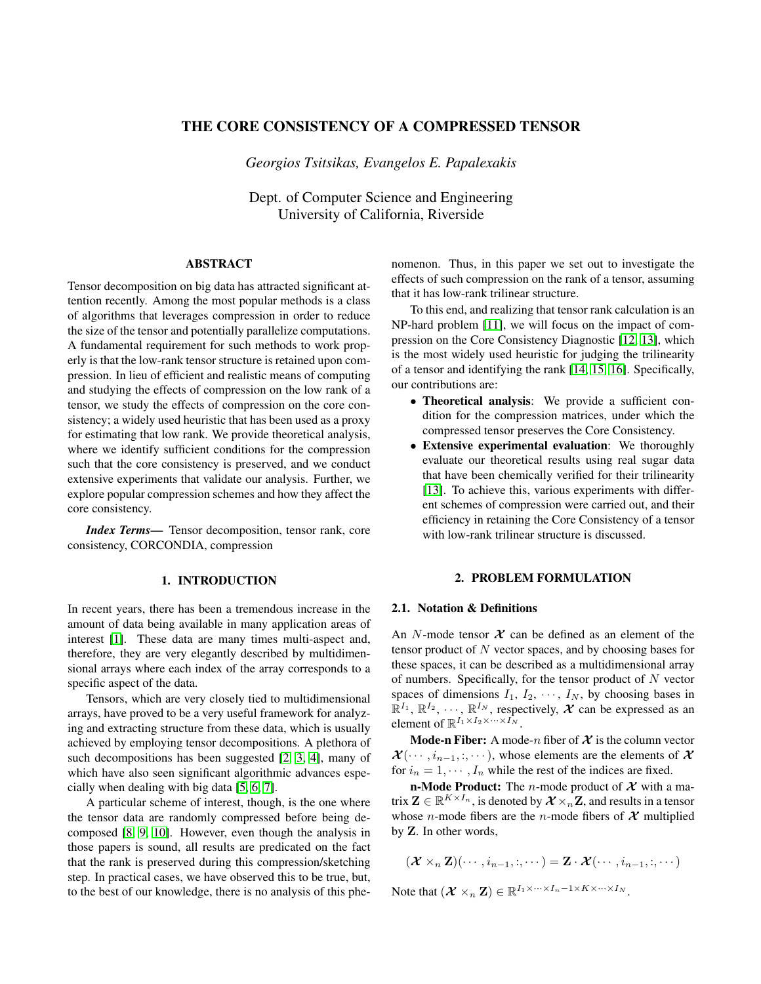# THE CORE CONSISTENCY OF A COMPRESSED TENSOR

*Georgios Tsitsikas, Evangelos E. Papalexakis*

Dept. of Computer Science and Engineering University of California, Riverside

## ABSTRACT

Tensor decomposition on big data has attracted significant attention recently. Among the most popular methods is a class of algorithms that leverages compression in order to reduce the size of the tensor and potentially parallelize computations. A fundamental requirement for such methods to work properly is that the low-rank tensor structure is retained upon compression. In lieu of efficient and realistic means of computing and studying the effects of compression on the low rank of a tensor, we study the effects of compression on the core consistency; a widely used heuristic that has been used as a proxy for estimating that low rank. We provide theoretical analysis, where we identify sufficient conditions for the compression such that the core consistency is preserved, and we conduct extensive experiments that validate our analysis. Further, we explore popular compression schemes and how they affect the core consistency.

*Index Terms*— Tensor decomposition, tensor rank, core consistency, CORCONDIA, compression

## 1. INTRODUCTION

In recent years, there has been a tremendous increase in the amount of data being available in many application areas of interest [\[1\]](#page-4-0). These data are many times multi-aspect and, therefore, they are very elegantly described by multidimensional arrays where each index of the array corresponds to a specific aspect of the data.

Tensors, which are very closely tied to multidimensional arrays, have proved to be a very useful framework for analyzing and extracting structure from these data, which is usually achieved by employing tensor decompositions. A plethora of such decompositions has been suggested [\[2,](#page-4-1) [3,](#page-4-2) [4\]](#page-4-3), many of which have also seen significant algorithmic advances especially when dealing with big data [\[5,](#page-4-4) [6,](#page-4-5) [7\]](#page-4-6).

A particular scheme of interest, though, is the one where the tensor data are randomly compressed before being decomposed [\[8,](#page-4-7) [9,](#page-4-8) [10\]](#page-4-9). However, even though the analysis in those papers is sound, all results are predicated on the fact that the rank is preserved during this compression/sketching step. In practical cases, we have observed this to be true, but, to the best of our knowledge, there is no analysis of this phenomenon. Thus, in this paper we set out to investigate the effects of such compression on the rank of a tensor, assuming that it has low-rank trilinear structure.

To this end, and realizing that tensor rank calculation is an NP-hard problem [\[11\]](#page-4-10), we will focus on the impact of compression on the Core Consistency Diagnostic [\[12,](#page-4-11) [13\]](#page-4-12), which is the most widely used heuristic for judging the trilinearity of a tensor and identifying the rank [\[14,](#page-4-13) [15,](#page-4-14) [16\]](#page-4-15). Specifically, our contributions are:

- Theoretical analysis: We provide a sufficient condition for the compression matrices, under which the compressed tensor preserves the Core Consistency.
- Extensive experimental evaluation: We thoroughly evaluate our theoretical results using real sugar data that have been chemically verified for their trilinearity [\[13\]](#page-4-12). To achieve this, various experiments with different schemes of compression were carried out, and their efficiency in retaining the Core Consistency of a tensor with low-rank trilinear structure is discussed.

### 2. PROBLEM FORMULATION

## 2.1. Notation & Definitions

An N-mode tensor  $X$  can be defined as an element of the tensor product of  $N$  vector spaces, and by choosing bases for these spaces, it can be described as a multidimensional array of numbers. Specifically, for the tensor product of  $N$  vector spaces of dimensions  $I_1$ ,  $I_2$ ,  $\cdots$ ,  $I_N$ , by choosing bases in  $\mathbb{R}^{I_1}, \mathbb{R}^{I_2}, \cdots, \mathbb{R}^{I_N}$ , respectively, X can be expressed as an element of  $\mathbb{R}^{I_1 \times I_2 \times \cdots \times I_N}$ .

**Mode-n Fiber:** A mode-n fiber of  $X$  is the column vector  $\mathcal{X}(\cdots,i_{n-1},\ldots)$ , whose elements are the elements of  $\mathcal{X}$ for  $i_n = 1, \dots, I_n$  while the rest of the indices are fixed.

**n-Mode Product:** The *n*-mode product of  $X$  with a matrix  $\mathbf{Z} \in \mathbb{R}^{K \times I_n}$ , is denoted by  $\mathcal{X} \times_n \mathbf{Z}$ , and results in a tensor whose *n*-mode fibers are the *n*-mode fibers of  $X$  multiplied by Z. In other words,

$$
(\mathcal{X} \times_n \mathbf{Z}) (\cdots, i_{n-1}, \ldots) = \mathbf{Z} \cdot \mathcal{X} (\cdots, i_{n-1}, \ldots)
$$

Note that  $(\mathcal{X} \times_n \mathbf{Z}) \in \mathbb{R}^{I_1 \times \cdots \times I_n - 1 \times K \times \cdots \times I_N}$ .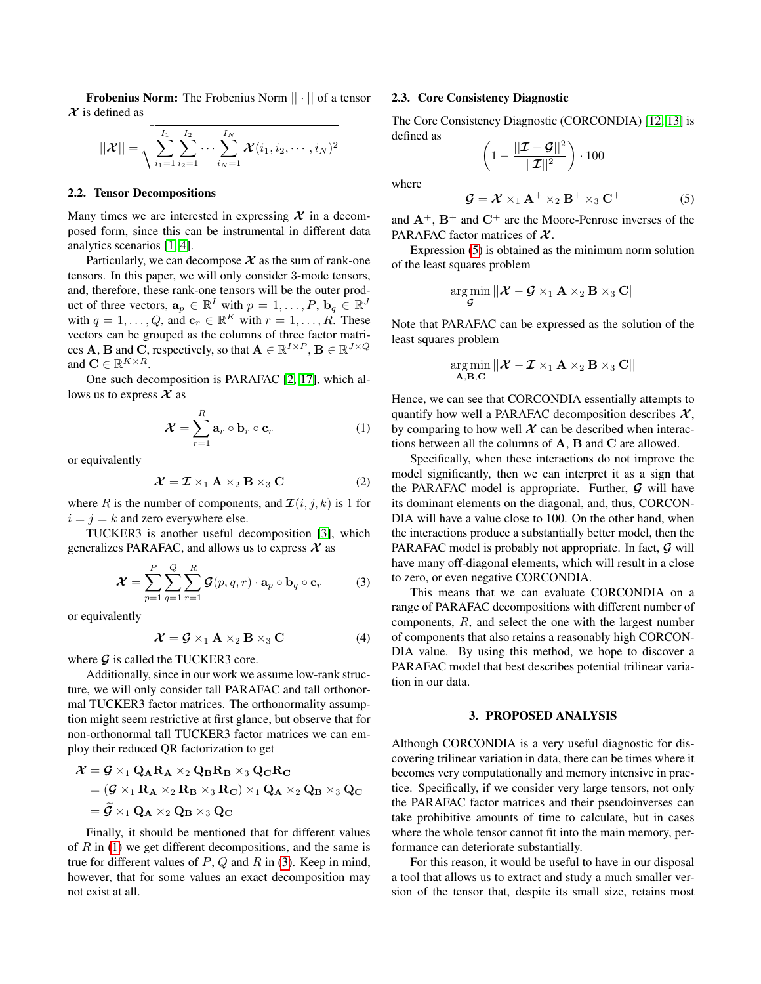Frobenius Norm: The Frobenius Norm || · || of a tensor  $\mathcal X$  is defined as

$$
||\boldsymbol{\mathcal{X}}|| = \sqrt{\sum_{i_1=1}^{I_1} \sum_{i_2=1}^{I_2} \cdots \sum_{i_N=1}^{I_N} \boldsymbol{\mathcal{X}}(i_1, i_2, \cdots, i_N)^2}
$$

#### <span id="page-1-3"></span>2.2. Tensor Decompositions

Many times we are interested in expressing  $\mathcal X$  in a decomposed form, since this can be instrumental in different data analytics scenarios [\[1,](#page-4-0) [4\]](#page-4-3).

Particularly, we can decompose  $\mathcal X$  as the sum of rank-one tensors. In this paper, we will only consider 3-mode tensors, and, therefore, these rank-one tensors will be the outer product of three vectors,  $\mathbf{a}_p \in \mathbb{R}^I$  with  $p = 1, \dots, P$ ,  $\mathbf{b}_q \in \mathbb{R}^J$ with  $q = 1, \ldots, Q$ , and  $\mathbf{c}_r \in \mathbb{R}^K$  with  $r = 1, \ldots, R$ . These vectors can be grouped as the columns of three factor matrices **A**, **B** and **C**, respectively, so that  $\mathbf{A} \in \mathbb{R}^{I \times P}$ ,  $\mathbf{B} \in \mathbb{R}^{J \times Q}$ and  $\mathbf{C} \in \mathbb{R}^{K \times R}$ .

One such decomposition is PARAFAC [\[2,](#page-4-1) [17\]](#page-4-16), which allows us to express  $\mathcal{X}$  as

<span id="page-1-0"></span>
$$
\mathcal{X} = \sum_{r=1}^{R} \mathbf{a}_r \circ \mathbf{b}_r \circ \mathbf{c}_r \tag{1}
$$

or equivalently

$$
\mathcal{X} = \mathcal{I} \times_1 \mathbf{A} \times_2 \mathbf{B} \times_3 \mathbf{C}
$$
 (2)

where R is the number of components, and  $\mathcal{I}(i, j, k)$  is 1 for  $i = j = k$  and zero everywhere else.

TUCKER3 is another useful decomposition [\[3\]](#page-4-2), which generalizes PARAFAC, and allows us to express  $\mathcal X$  as

<span id="page-1-1"></span>
$$
\mathcal{X} = \sum_{p=1}^{P} \sum_{q=1}^{Q} \sum_{r=1}^{R} \mathcal{G}(p, q, r) \cdot \mathbf{a}_p \circ \mathbf{b}_q \circ \mathbf{c}_r
$$
(3)

or equivalently

<span id="page-1-4"></span>
$$
\mathcal{X} = \mathcal{G} \times_1 \mathbf{A} \times_2 \mathbf{B} \times_3 \mathbf{C} \tag{4}
$$

where  $G$  is called the TUCKER3 core.

Additionally, since in our work we assume low-rank structure, we will only consider tall PARAFAC and tall orthonormal TUCKER3 factor matrices. The orthonormality assumption might seem restrictive at first glance, but observe that for non-orthonormal tall TUCKER3 factor matrices we can employ their reduced QR factorization to get

$$
\mathbf{\mathcal{X}} = \mathbf{\mathcal{G}} \times_1 \mathbf{Q}_A \mathbf{R}_A \times_2 \mathbf{Q}_B \mathbf{R}_B \times_3 \mathbf{Q}_C \mathbf{R}_C
$$
  
=  $(\mathbf{\mathcal{G}} \times_1 \mathbf{R}_A \times_2 \mathbf{R}_B \times_3 \mathbf{R}_C) \times_1 \mathbf{Q}_A \times_2 \mathbf{Q}_B \times_3 \mathbf{Q}_C$   
=  $\widetilde{\mathbf{\mathcal{G}}} \times_1 \mathbf{Q}_A \times_2 \mathbf{Q}_B \times_3 \mathbf{Q}_C$ 

Finally, it should be mentioned that for different values of  $R$  in [\(1\)](#page-1-0) we get different decompositions, and the same is true for different values of  $P$ ,  $Q$  and  $R$  in [\(3\)](#page-1-1). Keep in mind, however, that for some values an exact decomposition may not exist at all.

#### 2.3. Core Consistency Diagnostic

The Core Consistency Diagnostic (CORCONDIA) [\[12,](#page-4-11) [13\]](#page-4-12) is defined as

$$
\left(1 - \frac{||\mathcal{I} - \mathcal{G}||^2}{||\mathcal{I}||^2}\right) \cdot 100
$$

where

<span id="page-1-2"></span>
$$
\mathcal{G} = \mathcal{X} \times_1 \mathbf{A}^+ \times_2 \mathbf{B}^+ \times_3 \mathbf{C}^+ \tag{5}
$$

and  $A^+$ ,  $B^+$  and  $C^+$  are the Moore-Penrose inverses of the PARAFAC factor matrices of  $X$ .

Expression [\(5\)](#page-1-2) is obtained as the minimum norm solution of the least squares problem

$$
\underset{\boldsymbol{\mathcal{G}}}{\arg\min} ||\boldsymbol{\mathcal{X}} - \boldsymbol{\mathcal{G}} \times_1 \mathbf{A} \times_2 \mathbf{B} \times_3 \mathbf{C}||
$$

Note that PARAFAC can be expressed as the solution of the least squares problem

$$
\underset{\mathbf{A},\mathbf{B},\mathbf{C}}{\arg\min} ||\boldsymbol{\mathcal{X}}-\boldsymbol{\mathcal{I}}\times_1 \mathbf{A}\times_2 \mathbf{B}\times_3 \mathbf{C}||
$$

Hence, we can see that CORCONDIA essentially attempts to quantify how well a PARAFAC decomposition describes  $\mathcal{X}$ , by comparing to how well  $\mathcal X$  can be described when interactions between all the columns of A, B and C are allowed.

Specifically, when these interactions do not improve the model significantly, then we can interpret it as a sign that the PARAFAC model is appropriate. Further,  $G$  will have its dominant elements on the diagonal, and, thus, CORCON-DIA will have a value close to 100. On the other hand, when the interactions produce a substantially better model, then the PARAFAC model is probably not appropriate. In fact,  $\mathcal G$  will have many off-diagonal elements, which will result in a close to zero, or even negative CORCONDIA.

This means that we can evaluate CORCONDIA on a range of PARAFAC decompositions with different number of components, R, and select the one with the largest number of components that also retains a reasonably high CORCON-DIA value. By using this method, we hope to discover a PARAFAC model that best describes potential trilinear variation in our data.

#### 3. PROPOSED ANALYSIS

Although CORCONDIA is a very useful diagnostic for discovering trilinear variation in data, there can be times where it becomes very computationally and memory intensive in practice. Specifically, if we consider very large tensors, not only the PARAFAC factor matrices and their pseudoinverses can take prohibitive amounts of time to calculate, but in cases where the whole tensor cannot fit into the main memory, performance can deteriorate substantially.

For this reason, it would be useful to have in our disposal a tool that allows us to extract and study a much smaller version of the tensor that, despite its small size, retains most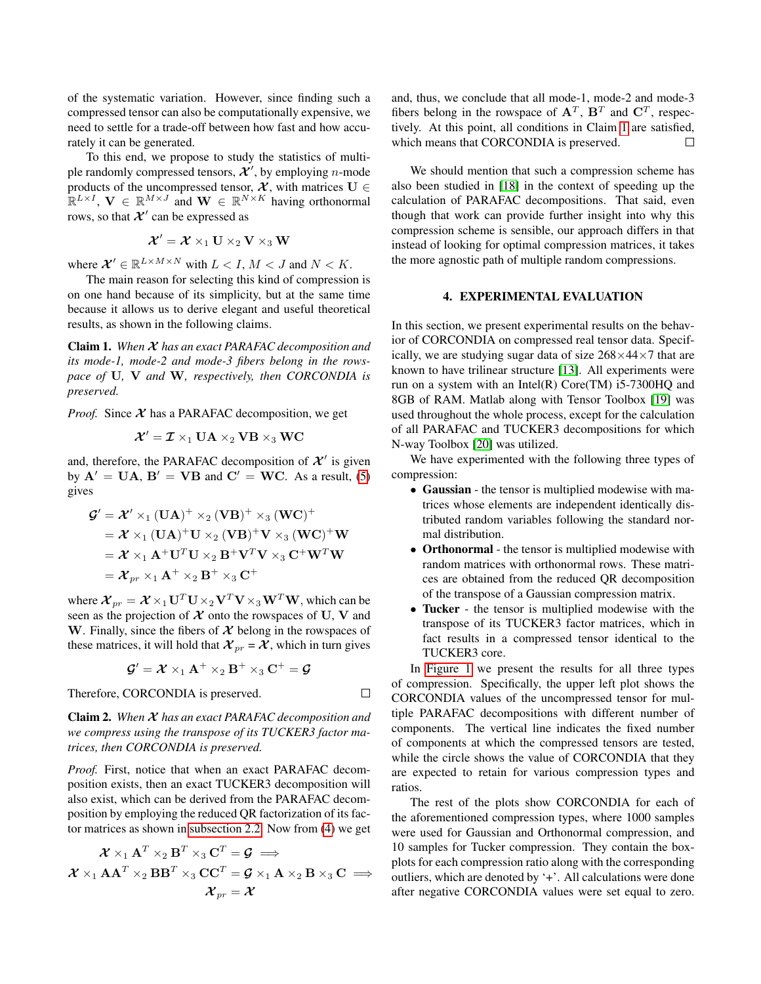of the systematic variation. However, since finding such a compressed tensor can also be computationally expensive, we need to settle for a trade-off between how fast and how accurately it can be generated.

To this end, we propose to study the statistics of multiple randomly compressed tensors,  $\mathcal{X}'$ , by employing *n*-mode products of the uncompressed tensor,  $\mathcal{X}$ , with matrices  $U \in$  $\mathbb{R}^{L\times I}$ ,  $\mathbf{V} \in \mathbb{R}^{M\times J}$  and  $\mathbf{W} \in \mathbb{R}^{N\times K}$  having orthonormal rows, so that  $\mathcal{X}'$  can be expressed as

$$
\boldsymbol{\mathcal{X}}' = \boldsymbol{\mathcal{X}} \times_1 \mathbf{U} \times_2 \mathbf{V} \times_3 \mathbf{W}
$$

where  $\mathcal{X}' \in \mathbb{R}^{L \times M \times N}$  with  $L < I$ ,  $M < J$  and  $N < K$ .

The main reason for selecting this kind of compression is on one hand because of its simplicity, but at the same time because it allows us to derive elegant and useful theoretical results, as shown in the following claims.

<span id="page-2-0"></span>Claim 1. *When* X *has an exact PARAFAC decomposition and its mode-1, mode-2 and mode-3 fibers belong in the rowspace of* U*,* V *and* W*, respectively, then CORCONDIA is preserved.*

*Proof.* Since  $X$  has a PARAFAC decomposition, we get

$$
\boldsymbol{\mathcal{X}}' = \boldsymbol{\mathcal{I}} \times_1 \mathbf{UA} \times_2 \mathbf{VB} \times_3 \mathbf{WC}
$$

and, therefore, the PARAFAC decomposition of  $\mathcal{X}'$  is given by  $A' = UA$ ,  $B' = VB$  and  $C' = WC$ . As a result, [\(5\)](#page-1-2) gives

$$
\mathcal{G}' = \mathcal{X}' \times_1 (\mathbf{UA})^+ \times_2 (\mathbf{VB})^+ \times_3 (\mathbf{WC})^+
$$
  
=  $\mathcal{X} \times_1 (\mathbf{UA})^+ \mathbf{U} \times_2 (\mathbf{VB})^+ \mathbf{V} \times_3 (\mathbf{WC})^+ \mathbf{W}$   
=  $\mathcal{X} \times_1 \mathbf{A}^+ \mathbf{U}^T \mathbf{U} \times_2 \mathbf{B}^+ \mathbf{V}^T \mathbf{V} \times_3 \mathbf{C}^+ \mathbf{W}^T \mathbf{W}$   
=  $\mathcal{X}_{pr} \times_1 \mathbf{A}^+ \times_2 \mathbf{B}^+ \times_3 \mathbf{C}^+$ 

where  $\mathcal{X}_{pr} = \mathcal{X} \times_1 \mathbf{U}^T \mathbf{U} \times_2 \mathbf{V}^T \mathbf{V} \times_3 \mathbf{W}^T \mathbf{W}$ , which can be seen as the projection of  $X$  onto the rowspaces of U, V and W. Finally, since the fibers of  $X$  belong in the rowspaces of these matrices, it will hold that  $\mathcal{X}_{pr} = \mathcal{X}$ , which in turn gives

$$
\mathcal{G}' = \mathcal{X} \times_1 \mathbf{A}^+ \times_2 \mathbf{B}^+ \times_3 \mathbf{C}^+ = \mathcal{G}
$$

 $\Box$ 

Therefore, CORCONDIA is preserved.

Claim 2. *When* X *has an exact PARAFAC decomposition and we compress using the transpose of its TUCKER3 factor matrices, then CORCONDIA is preserved.*

*Proof.* First, notice that when an exact PARAFAC decomposition exists, then an exact TUCKER3 decomposition will also exist, which can be derived from the PARAFAC decomposition by employing the reduced QR factorization of its factor matrices as shown in [subsection 2.2.](#page-1-3) Now from [\(4\)](#page-1-4) we get

$$
\begin{aligned} \mathcal{X}\times_1 \mathbf{A}^T \times_2 \mathbf{B}^T \times_3 \mathbf{C}^T &= \mathcal{G} \implies \\ \mathcal{X}\times_1 \mathbf{A} \mathbf{A}^T \times_2 \mathbf{B} \mathbf{B}^T \times_3 \mathbf{C} \mathbf{C}^T &= \mathcal{G} \times_1 \mathbf{A} \times_2 \mathbf{B} \times_3 \mathbf{C} \implies \\ \mathcal{X}_{pr} &= \mathcal{X} \end{aligned}
$$

and, thus, we conclude that all mode-1, mode-2 and mode-3 fibers belong in the rowspace of  $A<sup>T</sup>$ ,  $B<sup>T</sup>$  and  $C<sup>T</sup>$ , respectively. At this point, all conditions in Claim [1](#page-2-0) are satisfied, which means that CORCONDIA is preserved. П

We should mention that such a compression scheme has also been studied in [\[18\]](#page-4-17) in the context of speeding up the calculation of PARAFAC decompositions. That said, even though that work can provide further insight into why this compression scheme is sensible, our approach differs in that instead of looking for optimal compression matrices, it takes the more agnostic path of multiple random compressions.

### 4. EXPERIMENTAL EVALUATION

In this section, we present experimental results on the behavior of CORCONDIA on compressed real tensor data. Specifically, we are studying sugar data of size  $268\times44\times7$  that are known to have trilinear structure [\[13\]](#page-4-12). All experiments were run on a system with an Intel(R) Core(TM) i5-7300HQ and 8GB of RAM. Matlab along with Tensor Toolbox [\[19\]](#page-4-18) was used throughout the whole process, except for the calculation of all PARAFAC and TUCKER3 decompositions for which N-way Toolbox [\[20\]](#page-4-19) was utilized.

We have experimented with the following three types of compression:

- Gaussian the tensor is multiplied modewise with matrices whose elements are independent identically distributed random variables following the standard normal distribution.
- Orthonormal the tensor is multiplied modewise with random matrices with orthonormal rows. These matrices are obtained from the reduced QR decomposition of the transpose of a Gaussian compression matrix.
- Tucker the tensor is multiplied modewise with the transpose of its TUCKER3 factor matrices, which in fact results in a compressed tensor identical to the TUCKER3 core.

In [Figure 1](#page-3-0) we present the results for all three types of compression. Specifically, the upper left plot shows the CORCONDIA values of the uncompressed tensor for multiple PARAFAC decompositions with different number of components. The vertical line indicates the fixed number of components at which the compressed tensors are tested, while the circle shows the value of CORCONDIA that they are expected to retain for various compression types and ratios.

The rest of the plots show CORCONDIA for each of the aforementioned compression types, where 1000 samples were used for Gaussian and Orthonormal compression, and 10 samples for Tucker compression. They contain the boxplots for each compression ratio along with the corresponding outliers, which are denoted by '+'. All calculations were done after negative CORCONDIA values were set equal to zero.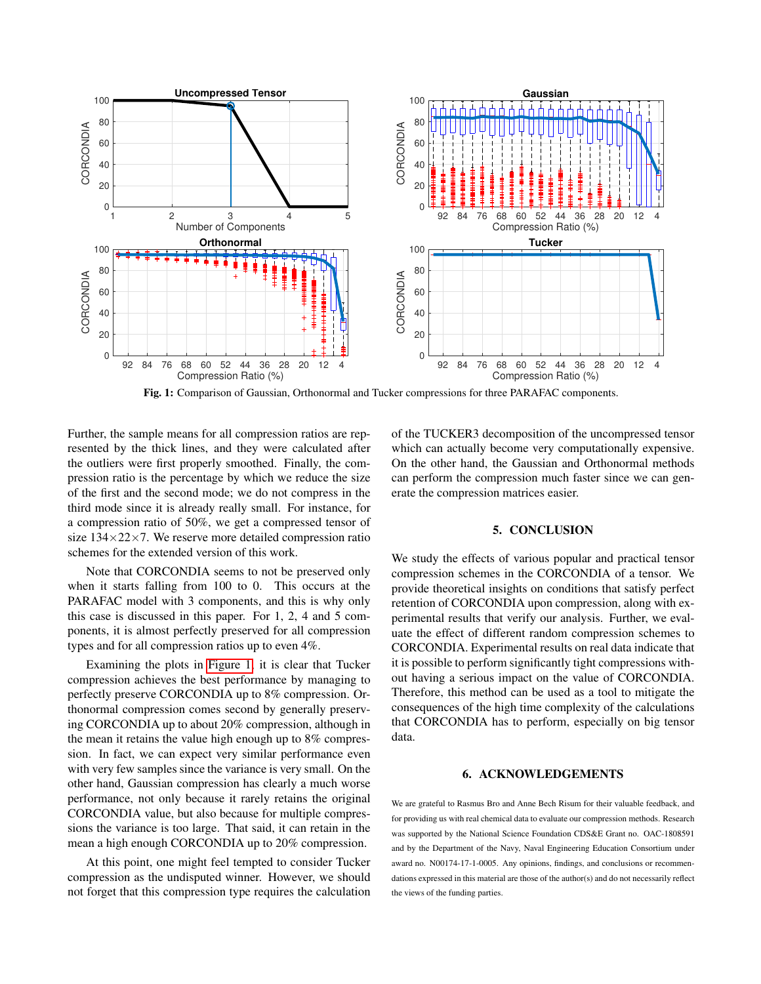<span id="page-3-0"></span>

Fig. 1: Comparison of Gaussian, Orthonormal and Tucker compressions for three PARAFAC components.

Further, the sample means for all compression ratios are represented by the thick lines, and they were calculated after the outliers were first properly smoothed. Finally, the compression ratio is the percentage by which we reduce the size of the first and the second mode; we do not compress in the third mode since it is already really small. For instance, for a compression ratio of 50%, we get a compressed tensor of size  $134\times22\times7$ . We reserve more detailed compression ratio schemes for the extended version of this work.

Note that CORCONDIA seems to not be preserved only when it starts falling from 100 to 0. This occurs at the PARAFAC model with 3 components, and this is why only this case is discussed in this paper. For 1, 2, 4 and 5 components, it is almost perfectly preserved for all compression types and for all compression ratios up to even 4%.

Examining the plots in [Figure 1,](#page-3-0) it is clear that Tucker compression achieves the best performance by managing to perfectly preserve CORCONDIA up to 8% compression. Orthonormal compression comes second by generally preserving CORCONDIA up to about 20% compression, although in the mean it retains the value high enough up to 8% compression. In fact, we can expect very similar performance even with very few samples since the variance is very small. On the other hand, Gaussian compression has clearly a much worse performance, not only because it rarely retains the original CORCONDIA value, but also because for multiple compressions the variance is too large. That said, it can retain in the mean a high enough CORCONDIA up to 20% compression.

At this point, one might feel tempted to consider Tucker compression as the undisputed winner. However, we should not forget that this compression type requires the calculation

of the TUCKER3 decomposition of the uncompressed tensor which can actually become very computationally expensive. On the other hand, the Gaussian and Orthonormal methods can perform the compression much faster since we can generate the compression matrices easier.

## 5. CONCLUSION

We study the effects of various popular and practical tensor compression schemes in the CORCONDIA of a tensor. We provide theoretical insights on conditions that satisfy perfect retention of CORCONDIA upon compression, along with experimental results that verify our analysis. Further, we evaluate the effect of different random compression schemes to CORCONDIA. Experimental results on real data indicate that it is possible to perform significantly tight compressions without having a serious impact on the value of CORCONDIA. Therefore, this method can be used as a tool to mitigate the consequences of the high time complexity of the calculations that CORCONDIA has to perform, especially on big tensor data.

## 6. ACKNOWLEDGEMENTS

We are grateful to Rasmus Bro and Anne Bech Risum for their valuable feedback, and for providing us with real chemical data to evaluate our compression methods. Research was supported by the National Science Foundation CDS&E Grant no. OAC-1808591 and by the Department of the Navy, Naval Engineering Education Consortium under award no. N00174-17-1-0005. Any opinions, findings, and conclusions or recommendations expressed in this material are those of the author(s) and do not necessarily reflect the views of the funding parties.